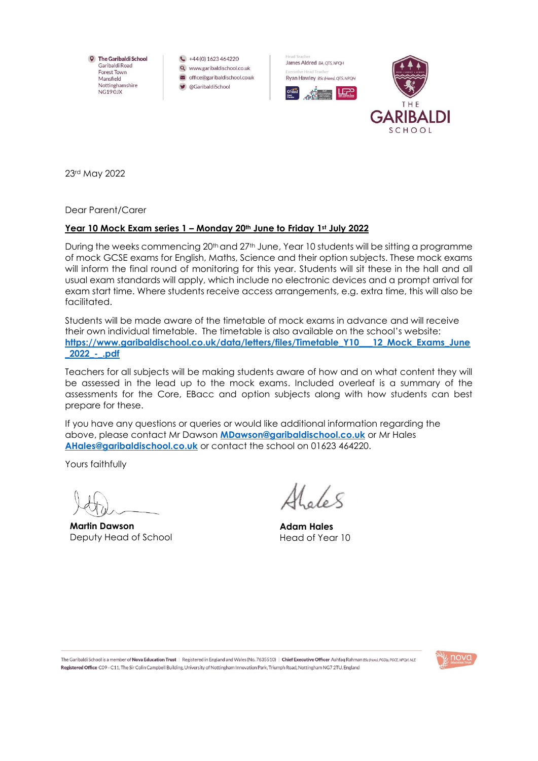**Q** The Garibaldi School Garibaldi Road Forest Town Mansfield Nottinghamshire NG190JX

 $\leftarrow$  +44(0) 1623 464220 Q www.garibaldischool.co.uk  $\blacksquare$  office@garibaldischool.co.uk ■ @GaribaldiSchool





23rd May 2022

Dear Parent/Carer

## **Year 10 Mock Exam series 1 – Monday 20th June to Friday 1st July 2022**

During the weeks commencing 20<sup>th</sup> and 27<sup>th</sup> June, Year 10 students will be sitting a programme of mock GCSE exams for English, Maths, Science and their option subjects. These mock exams will inform the final round of monitoring for this year. Students will sit these in the hall and all usual exam standards will apply, which include no electronic devices and a prompt arrival for exam start time. Where students receive access arrangements, e.g. extra time, this will also be facilitated.

Students will be made aware of the timetable of mock exams in advance and will receive their own individual timetable. The timetable is also available on the school's website: **[https://www.garibaldischool.co.uk/data/letters/files/Timetable\\_Y10\\_\\_\\_12\\_Mock\\_Exams\\_June](https://www.garibaldischool.co.uk/data/letters/files/Timetable_Y10___12_Mock_Exams_June_2022_-_.pdf) [\\_2022\\_-\\_.pdf](https://www.garibaldischool.co.uk/data/letters/files/Timetable_Y10___12_Mock_Exams_June_2022_-_.pdf)**

Teachers for all subjects will be making students aware of how and on what content they will be assessed in the lead up to the mock exams. Included overleaf is a summary of the assessments for the Core, EBacc and option subjects along with how students can best prepare for these.

If you have any questions or queries or would like additional information regarding the above, please contact Mr Dawson **[MDawson@garibaldischool.co.uk](mailto:MDawson@garibaldischool.co.uk)** or Mr Hales **[AHales@garibaldischool.co.uk](mailto:AHales@garibaldischool.co.uk)** or contact the school on 01623 464220.

Yours faithfully

**Martin Dawson** Deputy Head of School

**Adam Hales** Head of Year 10

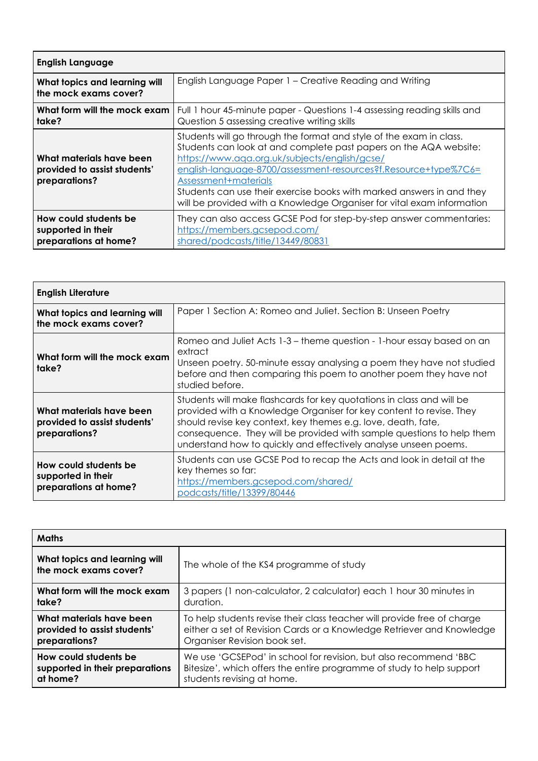| <b>English Language</b>                                                   |                                                                                                                                                                                                                                                                                                                                                                                                                                         |  |
|---------------------------------------------------------------------------|-----------------------------------------------------------------------------------------------------------------------------------------------------------------------------------------------------------------------------------------------------------------------------------------------------------------------------------------------------------------------------------------------------------------------------------------|--|
| What topics and learning will<br>the mock exams cover?                    | English Language Paper 1 - Creative Reading and Writing                                                                                                                                                                                                                                                                                                                                                                                 |  |
| What form will the mock exam<br>take?                                     | Full 1 hour 45-minute paper - Questions 1-4 assessing reading skills and<br>Question 5 assessing creative writing skills                                                                                                                                                                                                                                                                                                                |  |
| What materials have been<br>provided to assist students'<br>preparations? | Students will go through the format and style of the exam in class.<br>Students can look at and complete past papers on the AQA website:<br>https://www.aqa.org.uk/subjects/english/gcse/<br>english-language-8700/assessment-resources?f.Resource+type%7C6=<br>Assessment+materials<br>Students can use their exercise books with marked answers in and they<br>will be provided with a Knowledge Organiser for vital exam information |  |
| How could students be<br>supported in their<br>preparations at home?      | They can also access GCSE Pod for step-by-step answer commentaries:<br>https://members.gcsepod.com/<br>shared/podcasts/title/13449/80831                                                                                                                                                                                                                                                                                                |  |

| <b>English Literature</b>                                                 |                                                                                                                                                                                                                                                                                                                                                           |  |
|---------------------------------------------------------------------------|-----------------------------------------------------------------------------------------------------------------------------------------------------------------------------------------------------------------------------------------------------------------------------------------------------------------------------------------------------------|--|
| What topics and learning will<br>the mock exams cover?                    | Paper 1 Section A: Romeo and Juliet. Section B: Unseen Poetry                                                                                                                                                                                                                                                                                             |  |
| What form will the mock exam<br>take?                                     | Romeo and Juliet Acts 1-3 – theme question - 1-hour essay based on an<br>extract<br>Unseen poetry. 50-minute essay analysing a poem they have not studied<br>before and then comparing this poem to another poem they have not<br>studied before.                                                                                                         |  |
| What materials have been<br>provided to assist students'<br>preparations? | Students will make flashcards for key quotations in class and will be<br>provided with a Knowledge Organiser for key content to revise. They<br>should revise key context, key themes e.g. love, death, fate,<br>consequence. They will be provided with sample questions to help them<br>understand how to quickly and effectively analyse unseen poems. |  |
| How could students be<br>supported in their<br>preparations at home?      | Students can use GCSE Pod to recap the Acts and look in detail at the<br>key themes so far:<br>https://members.gcsepod.com/shared/<br>podcasts/title/13399/80446                                                                                                                                                                                          |  |

| <b>Maths</b>                                           |                                                                         |
|--------------------------------------------------------|-------------------------------------------------------------------------|
| What topics and learning will<br>the mock exams cover? | The whole of the KS4 programme of study                                 |
| What form will the mock exam                           | 3 papers (1 non-calculator, 2 calculator) each 1 hour 30 minutes in     |
| take?                                                  | duration.                                                               |
| What materials have been                               | To help students revise their class teacher will provide free of charge |
| provided to assist students'                           | either a set of Revision Cards or a Knowledge Retriever and Knowledge   |
| preparations?                                          | Organiser Revision book set.                                            |
| How could students be                                  | We use 'GCSEPod' in school for revision, but also recommend 'BBC        |
| supported in their preparations                        | Bitesize', which offers the entire programme of study to help support   |
| at home?                                               | students revising at home.                                              |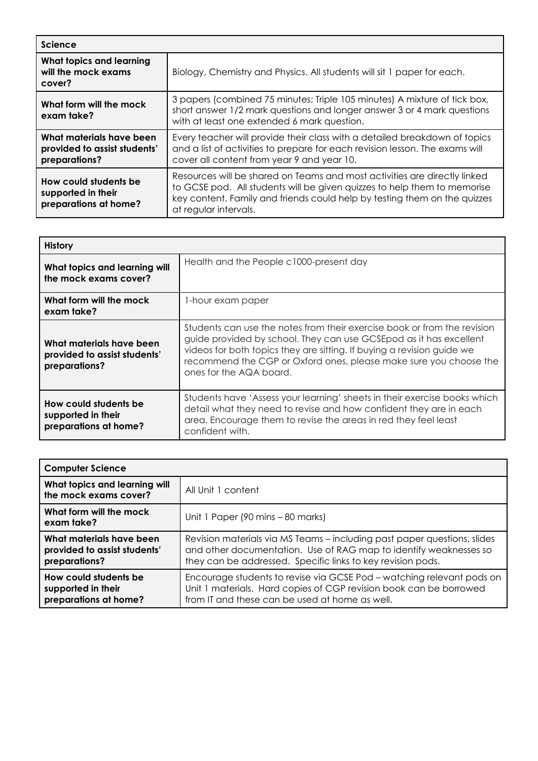| <b>Science</b>                                                            |                                                                                                                                                                                                                                                             |
|---------------------------------------------------------------------------|-------------------------------------------------------------------------------------------------------------------------------------------------------------------------------------------------------------------------------------------------------------|
| What topics and learning<br>will the mock exams<br>cover?                 | Biology, Chemistry and Physics. All students will sit 1 paper for each.                                                                                                                                                                                     |
| What form will the mock<br>exam take?                                     | 3 papers (combined 75 minutes; Triple 105 minutes) A mixture of tick box,<br>short answer 1/2 mark questions and longer answer 3 or 4 mark questions<br>with at least one extended 6 mark question.                                                         |
| What materials have been<br>provided to assist students'<br>preparations? | Every teacher will provide their class with a detailed breakdown of topics<br>and a list of activities to prepare for each revision lesson. The exams will<br>cover all content from year 9 and year 10.                                                    |
| How could students be<br>supported in their<br>preparations at home?      | Resources will be shared on Teams and most activities are directly linked<br>to GCSE pod. All students will be given quizzes to help them to memorise<br>key content. Family and friends could help by testing them on the quizzes<br>at regular intervals. |

| <b>History</b>                                                            |                                                                                                                                                                                                                                                                                                                          |
|---------------------------------------------------------------------------|--------------------------------------------------------------------------------------------------------------------------------------------------------------------------------------------------------------------------------------------------------------------------------------------------------------------------|
| What topics and learning will<br>the mock exams cover?                    | Health and the People c1000-present day                                                                                                                                                                                                                                                                                  |
| What form will the mock<br>exam take?                                     | 1-hour exam paper                                                                                                                                                                                                                                                                                                        |
| What materials have been<br>provided to assist students'<br>preparations? | Students can use the notes from their exercise book or from the revision<br>guide provided by school. They can use GCSEpod as it has excellent<br>videos for both topics they are sitting. If buying a revision guide we<br>recommend the CGP or Oxford ones, please make sure you choose the<br>ones for the AQA board. |
| How could students be<br>supported in their<br>preparations at home?      | Students have 'Assess your learning' sheets in their exercise books which<br>detail what they need to revise and how confident they are in each<br>area. Encourage them to revise the areas in red they feel least<br>confident with.                                                                                    |

| <b>Computer Science</b>                                                   |                                                                                                                                                                                                              |
|---------------------------------------------------------------------------|--------------------------------------------------------------------------------------------------------------------------------------------------------------------------------------------------------------|
| What topics and learning will<br>the mock exams cover?                    | All Unit 1 content                                                                                                                                                                                           |
| What form will the mock<br>exam take?                                     | Unit 1 Paper (90 mins – 80 marks)                                                                                                                                                                            |
| What materials have been<br>provided to assist students'<br>preparations? | Revision materials via MS Teams – including past paper questions, slides<br>and other documentation. Use of RAG map to identify weaknesses so<br>they can be addressed. Specific links to key revision pods. |
| How could students be<br>supported in their<br>preparations at home?      | Encourage students to revise via GCSE Pod - watching relevant pods on<br>Unit 1 materials. Hard copies of CGP revision book can be borrowed<br>from IT and these can be used at home as well.                |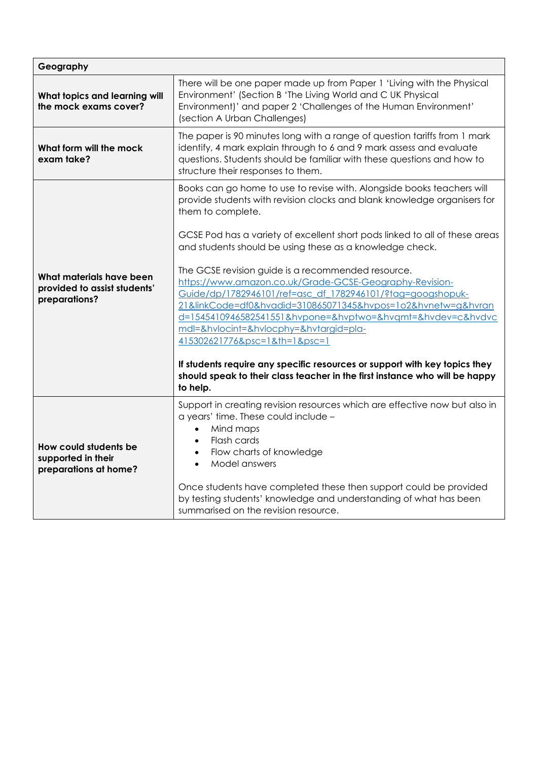| Geography                                                                 |                                                                                                                                                                                                                                                                                                                                                                                                                                                                                                                                                                                                                                                                                                                                                                                                                                                                                     |  |
|---------------------------------------------------------------------------|-------------------------------------------------------------------------------------------------------------------------------------------------------------------------------------------------------------------------------------------------------------------------------------------------------------------------------------------------------------------------------------------------------------------------------------------------------------------------------------------------------------------------------------------------------------------------------------------------------------------------------------------------------------------------------------------------------------------------------------------------------------------------------------------------------------------------------------------------------------------------------------|--|
| What topics and learning will<br>the mock exams cover?                    | There will be one paper made up from Paper 1 'Living with the Physical<br>Environment' (Section B 'The Living World and C UK Physical<br>Environment)' and paper 2 'Challenges of the Human Environment'<br>(section A Urban Challenges)                                                                                                                                                                                                                                                                                                                                                                                                                                                                                                                                                                                                                                            |  |
| What form will the mock<br>exam take?                                     | The paper is 90 minutes long with a range of question tariffs from 1 mark<br>identify, 4 mark explain through to 6 and 9 mark assess and evaluate<br>questions. Students should be familiar with these questions and how to<br>structure their responses to them.                                                                                                                                                                                                                                                                                                                                                                                                                                                                                                                                                                                                                   |  |
| What materials have been<br>provided to assist students'<br>preparations? | Books can go home to use to revise with. Alongside books teachers will<br>provide students with revision clocks and blank knowledge organisers for<br>them to complete.<br>GCSE Pod has a variety of excellent short pods linked to all of these areas<br>and students should be using these as a knowledge check.<br>The GCSE revision guide is a recommended resource.<br>https://www.amazon.co.uk/Grade-GCSE-Geography-Revision-<br>Guide/dp/1782946101/ref=asc df 1782946101/?tag=googshopuk-<br>21&linkCode=df0&hvadid=310865071345&hvpos=1o2&hvnetw=g&hvran<br>d=1545410946582541551&hvpone=&hvptwo=&hvgmt=&hvdev=c&hvdvc<br>mdl=&hvlocint=&hvlocphy=&hvtargid=pla-<br>415302621776&psc=1&th=1&psc=1<br>If students require any specific resources or support with key topics they<br>should speak to their class teacher in the first instance who will be happy<br>to help. |  |
| How could students be<br>supported in their<br>preparations at home?      | Support in creating revision resources which are effective now but also in<br>a years' time. These could include -<br>Mind maps<br>$\bullet$<br>Flash cards<br>$\bullet$<br>Flow charts of knowledge<br>$\bullet$<br>Model answers<br>$\bullet$<br>Once students have completed these then support could be provided<br>by testing students' knowledge and understanding of what has been<br>summarised on the revision resource.                                                                                                                                                                                                                                                                                                                                                                                                                                                   |  |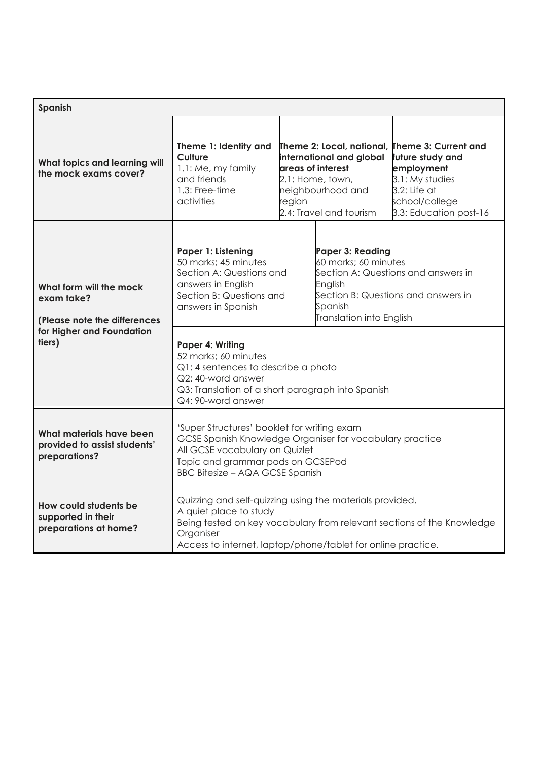| Spanish                                                                   |                                                                                                                                                                                                                                           |                                                                                                                                                                                                                                                                      |                                                                                                                                                                          |                        |
|---------------------------------------------------------------------------|-------------------------------------------------------------------------------------------------------------------------------------------------------------------------------------------------------------------------------------------|----------------------------------------------------------------------------------------------------------------------------------------------------------------------------------------------------------------------------------------------------------------------|--------------------------------------------------------------------------------------------------------------------------------------------------------------------------|------------------------|
| What topics and learning will<br>the mock exams cover?                    | Theme 1: Identity and<br>Culture<br>1.1: Me, my family<br>and friends<br>1.3: Free-time<br>activities                                                                                                                                     | Theme 2: Local, national, Theme 3: Current and<br>international and global<br>future study and<br>areas of interest<br>employment<br>3.1: My studies<br>2.1: Home, town,<br>3.2: Life at<br>neighbourhood and<br>school/college<br>region<br>2.4: Travel and tourism |                                                                                                                                                                          | 3.3: Education post-16 |
| What form will the mock<br>exam take?<br>(Please note the differences     | Paper 1: Listening<br>50 marks; 45 minutes<br>Section A: Questions and<br>answers in English<br>Section B: Questions and<br>answers in Spanish                                                                                            |                                                                                                                                                                                                                                                                      | Paper 3: Reading<br>60 marks; 60 minutes<br>Section A: Questions and answers in<br>English<br>Section B: Questions and answers in<br>Spanish<br>Translation into English |                        |
| for Higher and Foundation<br>tiers)                                       | Paper 4: Writing<br>52 marks; 60 minutes<br>Q1: 4 sentences to describe a photo<br>Q2: 40-word answer<br>Q3: Translation of a short paragraph into Spanish<br>Q4: 90-word answer                                                          |                                                                                                                                                                                                                                                                      |                                                                                                                                                                          |                        |
| What materials have been<br>provided to assist students'<br>preparations? | 'Super Structures' booklet for writing exam<br>GCSE Spanish Knowledge Organiser for vocabulary practice<br>All GCSE vocabulary on Quizlet<br>Topic and grammar pods on GCSEPod<br><b>BBC Bitesize - AQA GCSE Spanish</b>                  |                                                                                                                                                                                                                                                                      |                                                                                                                                                                          |                        |
| How could students be<br>supported in their<br>preparations at home?      | Quizzing and self-quizzing using the materials provided.<br>A quiet place to study<br>Being tested on key vocabulary from relevant sections of the Knowledge<br>Organiser<br>Access to internet, laptop/phone/tablet for online practice. |                                                                                                                                                                                                                                                                      |                                                                                                                                                                          |                        |